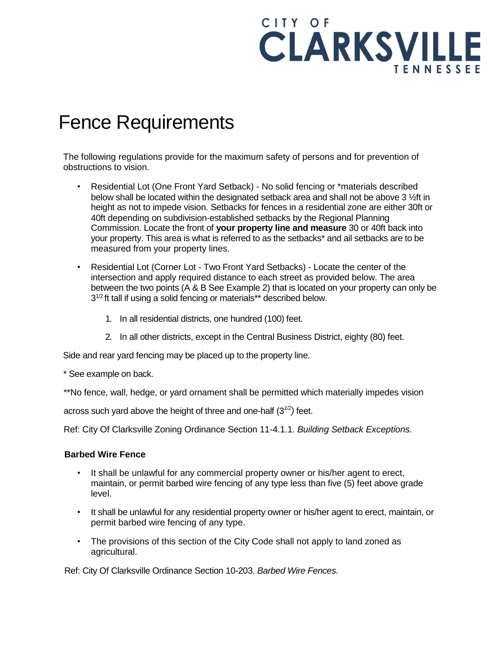

## Fence Requirements

The following regulations provide for the maximum safety of persons and for prevention of obstructions to vision.

- Residential Lot (One Front Yard Setback) No solid fencing or \*materials described below shall be located within the designated setback area and shall not be above 3 ½ft in height as not to impede vision. Setbacks for fences in a residential zone are either 30ft or 40ft depending on subdivision-established setbacks by the Regional Planning Commission. Locate the front of **your property line and measure** 30 or 40ft back into your property. This area is what is referred to as the setbacks\* and ail setbacks are to be measured from your property lines.
- Residential Lot (Corner Lot Two Front Yard Setbacks) Locate the center of the intersection and apply required distance to each street as provided below. The area between the two points (A & B See Example 2) that is located on your property can only be 3<sup>1/2</sup> ft tall if using a solid fencing or materials\*\* described below.
	- 1. In all residential districts, one hundred (100) feet.
	- 2. In all other districts, except in the Central Business District, eighty (80) feet.

Side and rear yard fencing may be placed up to the property line.

\* See example on back.

\*\*No fence, wall, hedge, or yard ornament shall be permitted which materially impedes vision

across such yard above the height of three and one-half (3*1/2)* feet.

Ref: City Of Clarksville Zoning Ordinance Section 11-4.1.1. *Building Setback Exceptions.*

## **Barbed Wire Fence**

- It shall be unlawful for any commercial property owner or his/her agent to erect, maintain, or permit barbed wire fencing of any type less than five (5) feet above grade level.
- It shall be unlawful for any residential property owner or his/her agent to erect, maintain, or permit barbed wire fencing of any type.
- The provisions of this section of the City Code shall not apply to land zoned as agricultural.

Ref: City Of Clarksville Ordinance Section 10-203. *Barbed Wire Fences.*